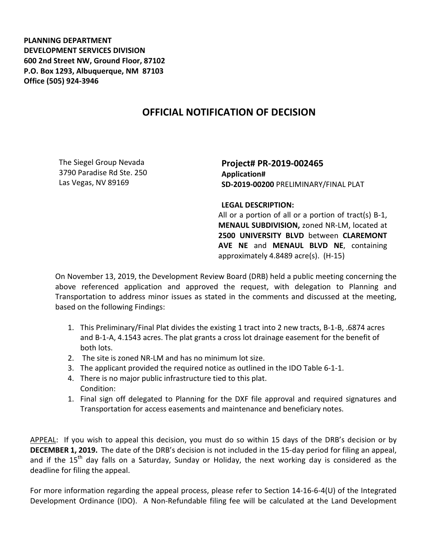**PLANNING DEPARTMENT DEVELOPMENT SERVICES DIVISION 600 2nd Street NW, Ground Floor, 87102 P.O. Box 1293, Albuquerque, NM 87103 Office (505) 924-3946** 

## **OFFICIAL NOTIFICATION OF DECISION**

The Siegel Group Nevada 3790 Paradise Rd Ste. 250 Las Vegas, NV 89169

**Project# PR-2019-002465 Application# SD-2019-00200** PRELIMINARY/FINAL PLAT

**LEGAL DESCRIPTION:**

All or a portion of all or a portion of tract(s) B-1, **MENAUL SUBDIVISION,** zoned NR-LM, located at **2500 UNIVERSITY BLVD** between **CLAREMONT AVE NE** and **MENAUL BLVD NE**, containing approximately 4.8489 acre(s). (H-15)

On November 13, 2019, the Development Review Board (DRB) held a public meeting concerning the above referenced application and approved the request, with delegation to Planning and Transportation to address minor issues as stated in the comments and discussed at the meeting, based on the following Findings:

- 1. This Preliminary/Final Plat divides the existing 1 tract into 2 new tracts, B-1-B, .6874 acres and B-1-A, 4.1543 acres. The plat grants a cross lot drainage easement for the benefit of both lots.
- 2. The site is zoned NR-LM and has no minimum lot size.
- 3. The applicant provided the required notice as outlined in the IDO Table 6-1-1.
- 4. There is no major public infrastructure tied to this plat. Condition:
- 1. Final sign off delegated to Planning for the DXF file approval and required signatures and Transportation for access easements and maintenance and beneficiary notes.

APPEAL: If you wish to appeal this decision, you must do so within 15 days of the DRB's decision or by **DECEMBER 1, 2019.** The date of the DRB's decision is not included in the 15-day period for filing an appeal, and if the  $15<sup>th</sup>$  day falls on a Saturday, Sunday or Holiday, the next working day is considered as the deadline for filing the appeal.

For more information regarding the appeal process, please refer to Section 14-16-6-4(U) of the Integrated Development Ordinance (IDO). A Non-Refundable filing fee will be calculated at the Land Development